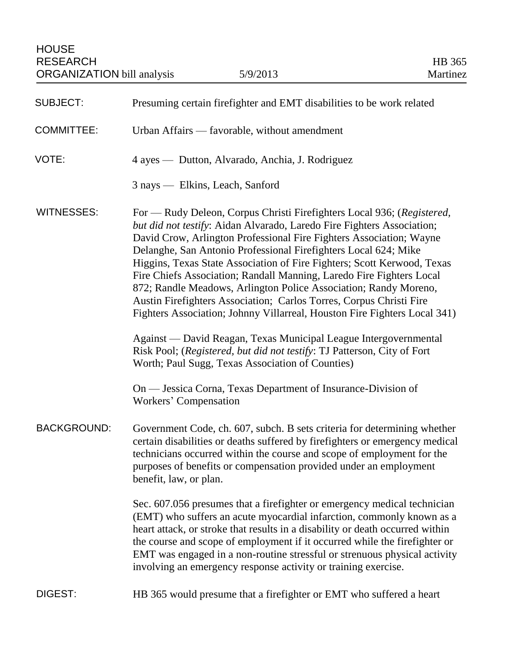| <b>SUBJECT:</b>    | Presuming certain firefighter and EMT disabilities to be work related                                                                                                                                                                                                                                                                                                                                                                                                                                                                                                                                                                                                                                                                                                                                                                                                    |
|--------------------|--------------------------------------------------------------------------------------------------------------------------------------------------------------------------------------------------------------------------------------------------------------------------------------------------------------------------------------------------------------------------------------------------------------------------------------------------------------------------------------------------------------------------------------------------------------------------------------------------------------------------------------------------------------------------------------------------------------------------------------------------------------------------------------------------------------------------------------------------------------------------|
| <b>COMMITTEE:</b>  | Urban Affairs — favorable, without amendment                                                                                                                                                                                                                                                                                                                                                                                                                                                                                                                                                                                                                                                                                                                                                                                                                             |
| VOTE:              | 4 ayes — Dutton, Alvarado, Anchia, J. Rodriguez                                                                                                                                                                                                                                                                                                                                                                                                                                                                                                                                                                                                                                                                                                                                                                                                                          |
|                    | 3 nays — Elkins, Leach, Sanford                                                                                                                                                                                                                                                                                                                                                                                                                                                                                                                                                                                                                                                                                                                                                                                                                                          |
| <b>WITNESSES:</b>  | For — Rudy Deleon, Corpus Christi Firefighters Local 936; (Registered,<br>but did not testify: Aidan Alvarado, Laredo Fire Fighters Association;<br>David Crow, Arlington Professional Fire Fighters Association; Wayne<br>Delanghe, San Antonio Professional Firefighters Local 624; Mike<br>Higgins, Texas State Association of Fire Fighters; Scott Kerwood, Texas<br>Fire Chiefs Association; Randall Manning, Laredo Fire Fighters Local<br>872; Randle Meadows, Arlington Police Association; Randy Moreno,<br>Austin Firefighters Association; Carlos Torres, Corpus Christi Fire<br>Fighters Association; Johnny Villarreal, Houston Fire Fighters Local 341)<br>Against — David Reagan, Texas Municipal League Intergovernmental<br>Risk Pool; (Registered, but did not testify: TJ Patterson, City of Fort<br>Worth; Paul Sugg, Texas Association of Counties) |
|                    | On — Jessica Corna, Texas Department of Insurance-Division of<br>Workers' Compensation                                                                                                                                                                                                                                                                                                                                                                                                                                                                                                                                                                                                                                                                                                                                                                                   |
| <b>BACKGROUND:</b> | Government Code, ch. 607, subch. B sets criteria for determining whether<br>certain disabilities or deaths suffered by firefighters or emergency medical<br>technicians occurred within the course and scope of employment for the<br>purposes of benefits or compensation provided under an employment<br>benefit, law, or plan.                                                                                                                                                                                                                                                                                                                                                                                                                                                                                                                                        |
|                    | Sec. 607.056 presumes that a firefighter or emergency medical technician<br>(EMT) who suffers an acute myocardial infarction, commonly known as a<br>heart attack, or stroke that results in a disability or death occurred within<br>the course and scope of employment if it occurred while the firefighter or<br>EMT was engaged in a non-routine stressful or strenuous physical activity<br>involving an emergency response activity or training exercise.                                                                                                                                                                                                                                                                                                                                                                                                          |
| <b>DIGEST:</b>     | HB 365 would presume that a firefighter or EMT who suffered a heart                                                                                                                                                                                                                                                                                                                                                                                                                                                                                                                                                                                                                                                                                                                                                                                                      |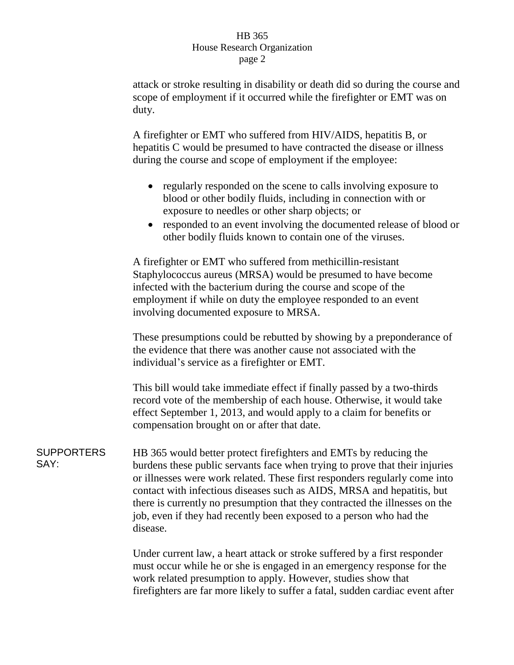## HB 365 House Research Organization page 2

attack or stroke resulting in disability or death did so during the course and scope of employment if it occurred while the firefighter or EMT was on duty.

A firefighter or EMT who suffered from HIV/AIDS, hepatitis B, or hepatitis C would be presumed to have contracted the disease or illness during the course and scope of employment if the employee:

- regularly responded on the scene to calls involving exposure to blood or other bodily fluids, including in connection with or exposure to needles or other sharp objects; or
- responded to an event involving the documented release of blood or other bodily fluids known to contain one of the viruses.

A firefighter or EMT who suffered from methicillin-resistant Staphylococcus aureus (MRSA) would be presumed to have become infected with the bacterium during the course and scope of the employment if while on duty the employee responded to an event involving documented exposure to MRSA.

These presumptions could be rebutted by showing by a preponderance of the evidence that there was another cause not associated with the individual's service as a firefighter or EMT.

This bill would take immediate effect if finally passed by a two-thirds record vote of the membership of each house. Otherwise, it would take effect September 1, 2013, and would apply to a claim for benefits or compensation brought on or after that date.

**SUPPORTERS** SAY: HB 365 would better protect firefighters and EMTs by reducing the burdens these public servants face when trying to prove that their injuries or illnesses were work related. These first responders regularly come into contact with infectious diseases such as AIDS, MRSA and hepatitis, but there is currently no presumption that they contracted the illnesses on the job, even if they had recently been exposed to a person who had the disease.

> Under current law, a heart attack or stroke suffered by a first responder must occur while he or she is engaged in an emergency response for the work related presumption to apply. However, studies show that firefighters are far more likely to suffer a fatal, sudden cardiac event after